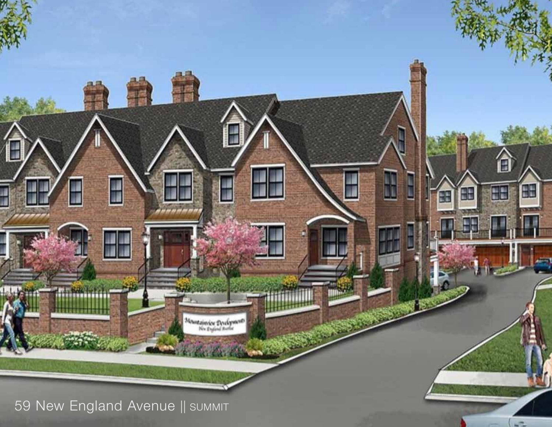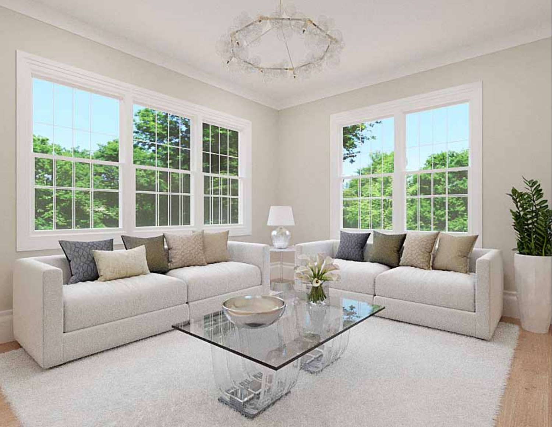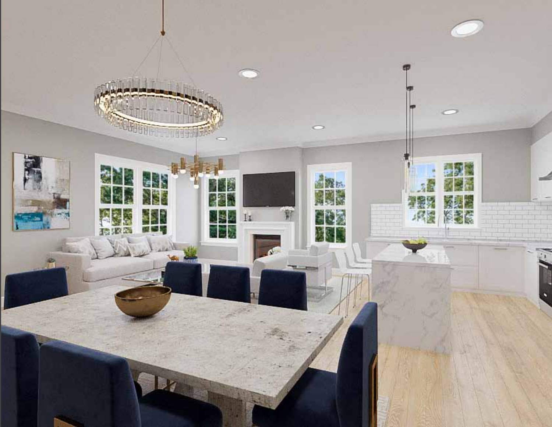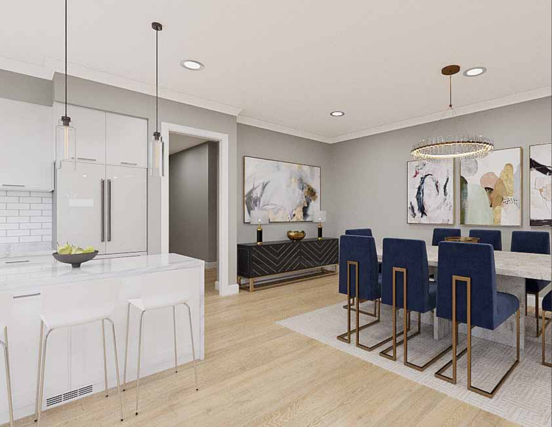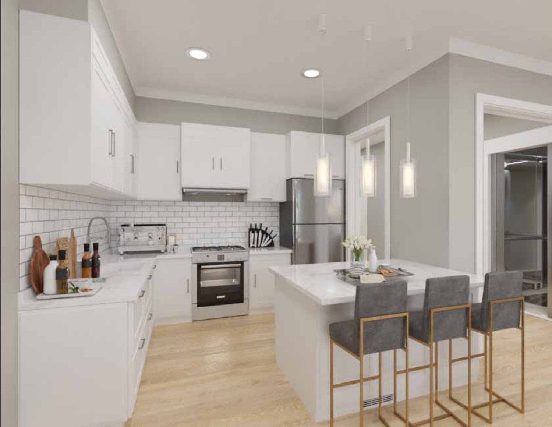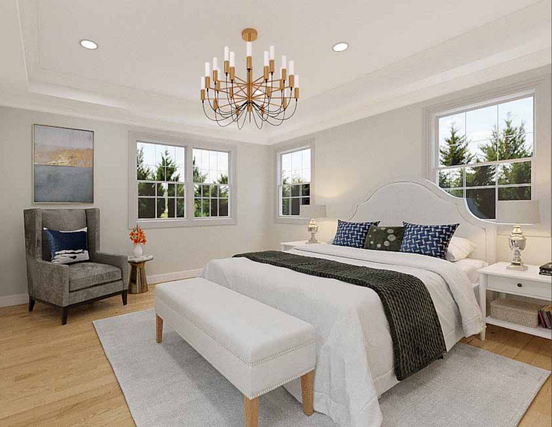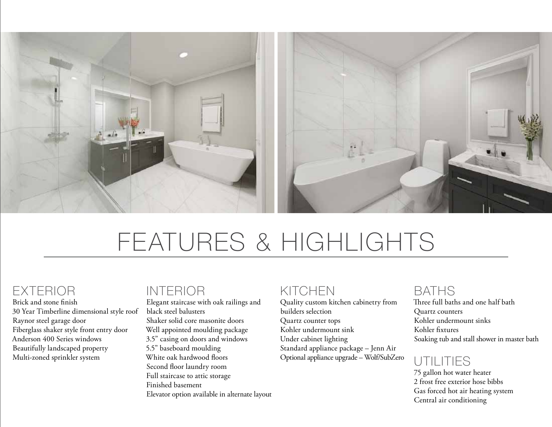

# FEATURES & HIGHLIGHTS

# **EXTERIOR**

Brick and stone finish 30 Year Timberline dimensional style roof Raynor steel garage door Fiberglass shaker style front entry door Anderson 400 Series windows Beautifully landscaped property Multi-zoned sprinkler system

#### **INTERIOR**

Elegant staircase with oak railings and black steel balusters Shaker solid core masonite doors Well appointed moulding package 3.5" casing on doors and windows 5.5" baseboard moulding White oak hardwood floors Second floor laundry room Full staircase to attic storage Finished basement Elevator option available in alternate layout

### **KITCHEN**

Quality custom kitchen cabinetry from builders selection Quartz counter tops Kohler undermount sink

Under cabinet lighting Standard appliance package – Jenn Air Optional appliance upgrade – Wolf/SubZero

### **BATHS**

Three full baths and one half bath Quartz counters Kohler undermount sinks Kohler fixtures Soaking tub and stall shower in master bath

#### **UTILITIES**

75 gallon hot water heater 2 frost free exterior hose bibbs Gas forced hot air heating system Central air conditioning